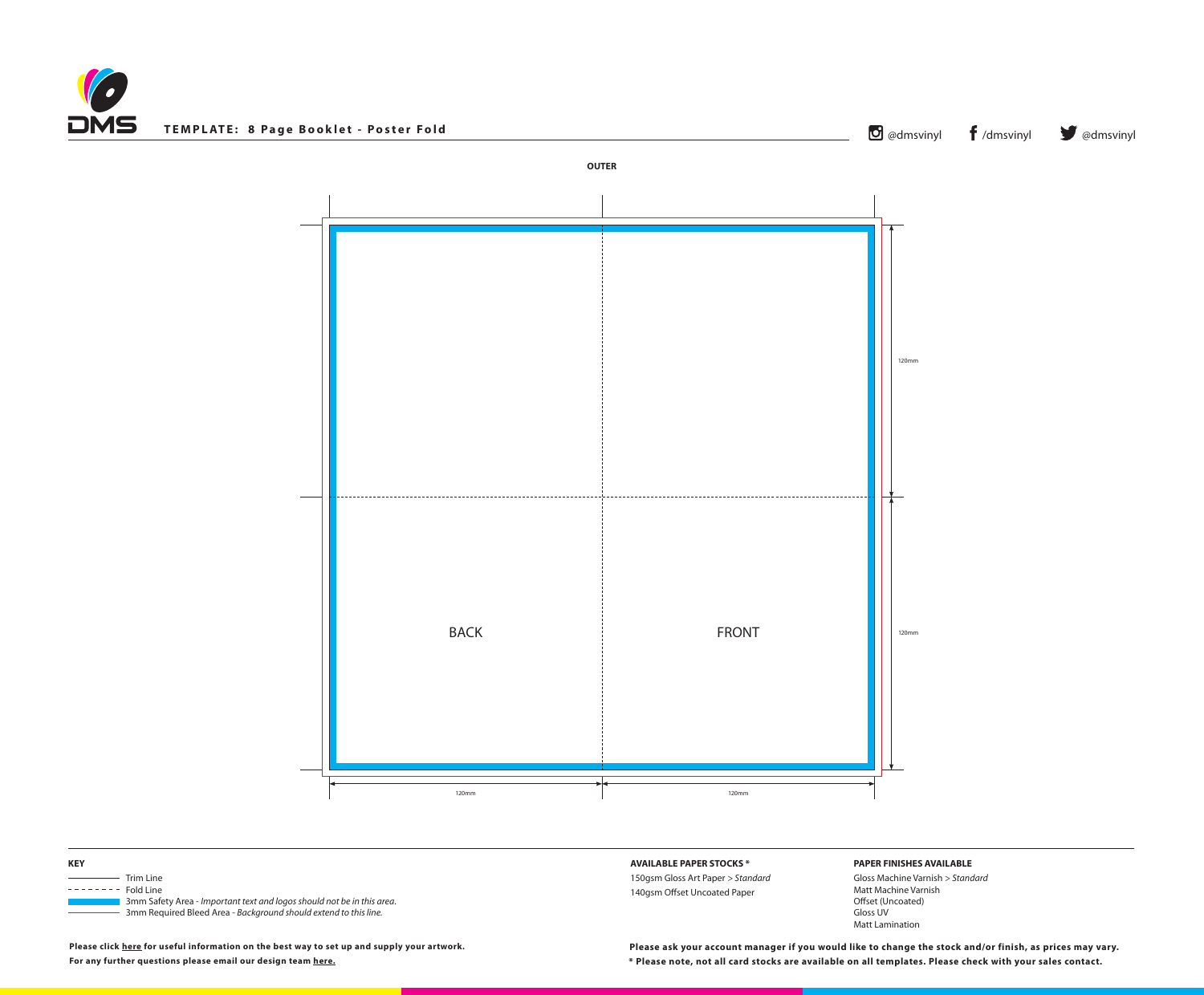



**\* Please note, not all card stocks are available on all templates. Please check with your sales contact. Please ask your account manager if you would like to change the stock and/or finish, as prices may vary.**



## **PAPER FINISHES AVAILABLE**

Gloss Machine Varnish *> Standard* Matt Machine Varnish Offset (Uncoated) Gloss UV Matt Lamination

**Please click [here](https://www.discmanufacturingservices.com/cd/templates#artwork-specifications) for useful information on the best way to set up and supply your artwork. For any further questions please email our design team [here.](mailto:graphics%40discmanufacturingservices.com?subject=Template%20Enquiry)**